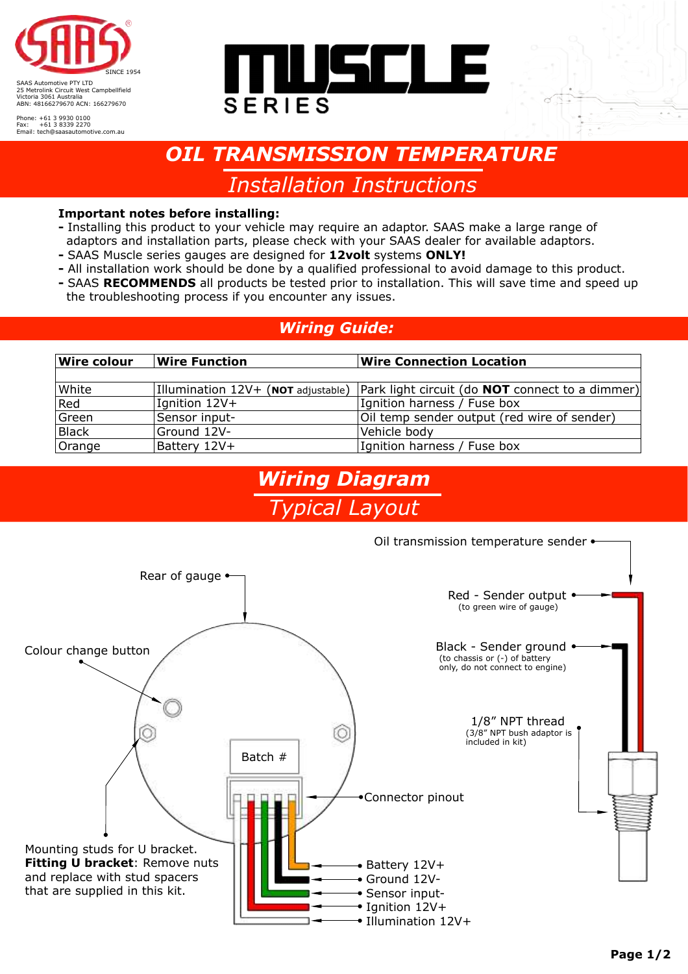

Phone: +61 3 9930 0100 Fax: +61 3 8339 2270 Email: tech@saasautomotive.com.au



# *OIL TRANSMISSION TEMPERATURE*

*Installation Instructions* 

#### **Important notes before installing:**

- Installing this product to your vehicle may require an adaptor. SAAS make a large range of adaptors and installation parts, please check with your SAAS dealer for available adaptors.
- SAAS Muscle series gauges are designed for **12volt** systems **ONLY!**
- **-** All installation work should be done by a qualified professional to avoid damage to this product.
- SAAS **RECOMMENDS** all products be tested prior to installation. This will save time and speed up the troubleshooting process if you encounter any issues.

### *Wiring Guide:*

| <b>Wire colour</b> | <b>Wire Function</b>               | <b>Wire Connection Location</b>                        |
|--------------------|------------------------------------|--------------------------------------------------------|
|                    |                                    |                                                        |
| White              | Illumination 12V+ (NOT adjustable) | Park light circuit (do <b>NOT</b> connect to a dimmer) |
| Red                | Ignition 12V+                      | Ignition harness / Fuse box                            |
| Green              | Sensor input-                      | Oil temp sender output (red wire of sender)            |
| Black              | Ground 12V-                        | Vehicle body                                           |
| Orange             | Battery 12V+                       | Ignition harness / Fuse box                            |